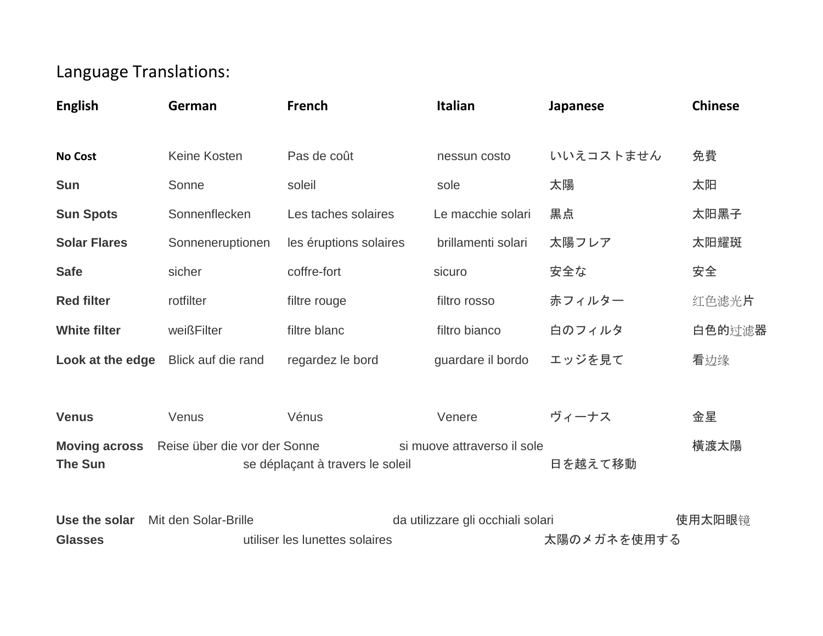## Language Translations:

| <b>English</b>       | German                       | <b>French</b>                    | <b>Italian</b>                    | Japanese    | <b>Chinese</b> |
|----------------------|------------------------------|----------------------------------|-----------------------------------|-------------|----------------|
|                      |                              |                                  |                                   |             |                |
| <b>No Cost</b>       | Keine Kosten                 | Pas de coût                      | nessun costo                      | いいえコストません   | 免費             |
| <b>Sun</b>           | Sonne                        | soleil                           | sole                              | 太陽          | 太阳             |
| <b>Sun Spots</b>     | Sonnenflecken                | Les taches solaires              | Le macchie solari                 | 黒点          | 太阳黑子           |
| <b>Solar Flares</b>  | Sonneneruptionen             | les éruptions solaires           | brillamenti solari                | 太陽フレア       | 太阳耀斑           |
| <b>Safe</b>          | sicher                       | coffre-fort                      | sicuro                            | 安全な         | 安全             |
| <b>Red filter</b>    | rotfilter                    | filtre rouge                     | filtro rosso                      | 赤フィルター      | 红色滤光片          |
| <b>White filter</b>  | weißFilter                   | filtre blanc                     | filtro bianco                     | 白のフィルタ      | 白色的过滤器         |
| Look at the edge     | Blick auf die rand           | regardez le bord                 | guardare il bordo                 | エッジを見て      | 看边缘            |
|                      |                              |                                  |                                   |             |                |
| <b>Venus</b>         | Venus                        | Vénus                            | Venere                            | ヴィーナス       | 金星             |
| <b>Moving across</b> | Reise über die vor der Sonne |                                  | si muove attraverso il sole       |             | 橫渡太陽           |
| <b>The Sun</b>       |                              | se déplaçant à travers le soleil |                                   | 日を越えて移動     |                |
|                      |                              |                                  |                                   |             |                |
| Use the solar        | Mit den Solar-Brille         |                                  | da utilizzare gli occhiali solari |             | 使用太阳眼镜         |
| <b>Glasses</b>       |                              | utiliser les lunettes solaires   |                                   | 太陽のメガネを使用する |                |